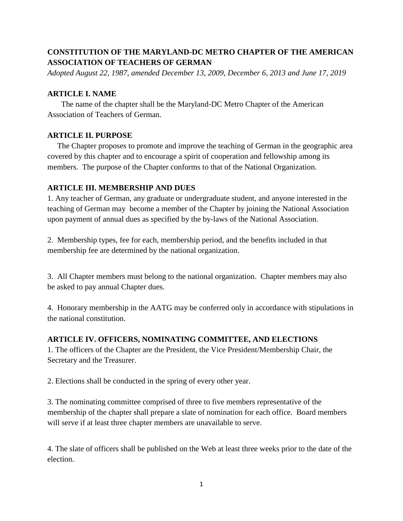# **CONSTITUTION OF THE MARYLAND-DC METRO CHAPTER OF THE AMERICAN ASSOCIATION OF TEACHERS OF GERMAN**

*Adopted August 22, 1987, amended December 13, 2009, December 6, 2013 and June 17, 2019*

### **ARTICLE I. NAME**

 The name of the chapter shall be the Maryland-DC Metro Chapter of the American Association of Teachers of German.

## **ARTICLE II. PURPOSE**

 The Chapter proposes to promote and improve the teaching of German in the geographic area covered by this chapter and to encourage a spirit of cooperation and fellowship among its members. The purpose of the Chapter conforms to that of the National Organization.

## **ARTICLE III. MEMBERSHIP AND DUES**

1. Any teacher of German, any graduate or undergraduate student, and anyone interested in the teaching of German may become a member of the Chapter by joining the National Association upon payment of annual dues as specified by the by-laws of the National Association.

2. Membership types, fee for each, membership period, and the benefits included in that membership fee are determined by the national organization.

3. All Chapter members must belong to the national organization. Chapter members may also be asked to pay annual Chapter dues.

4. Honorary membership in the AATG may be conferred only in accordance with stipulations in the national constitution.

# **ARTICLE IV. OFFICERS, NOMINATING COMMITTEE, AND ELECTIONS**

1. The officers of the Chapter are the President, the Vice President/Membership Chair, the Secretary and the Treasurer.

2. Elections shall be conducted in the spring of every other year.

3. The nominating committee comprised of three to five members representative of the membership of the chapter shall prepare a slate of nomination for each office. Board members will serve if at least three chapter members are unavailable to serve.

4. The slate of officers shall be published on the Web at least three weeks prior to the date of the election.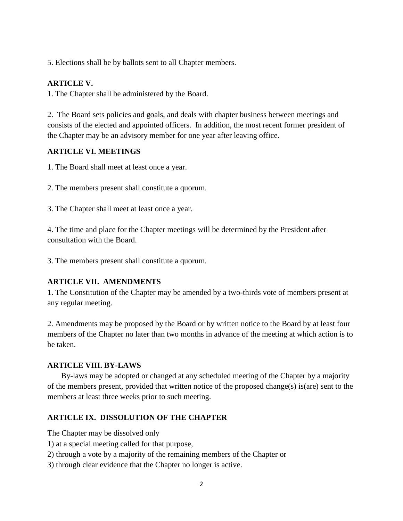5. Elections shall be by ballots sent to all Chapter members.

## **ARTICLE V.**

1. The Chapter shall be administered by the Board.

2. The Board sets policies and goals, and deals with chapter business between meetings and consists of the elected and appointed officers. In addition, the most recent former president of the Chapter may be an advisory member for one year after leaving office.

#### **ARTICLE VI. MEETINGS**

1. The Board shall meet at least once a year.

2. The members present shall constitute a quorum.

3. The Chapter shall meet at least once a year.

4. The time and place for the Chapter meetings will be determined by the President after consultation with the Board.

3. The members present shall constitute a quorum.

#### **ARTICLE VII. AMENDMENTS**

1. The Constitution of the Chapter may be amended by a two-thirds vote of members present at any regular meeting.

2. Amendments may be proposed by the Board or by written notice to the Board by at least four members of the Chapter no later than two months in advance of the meeting at which action is to be taken.

#### **ARTICLE VIII. BY-LAWS**

 By-laws may be adopted or changed at any scheduled meeting of the Chapter by a majority of the members present, provided that written notice of the proposed change(s) is(are) sent to the members at least three weeks prior to such meeting.

#### **ARTICLE IX. DISSOLUTION OF THE CHAPTER**

The Chapter may be dissolved only

1) at a special meeting called for that purpose,

- 2) through a vote by a majority of the remaining members of the Chapter or
- 3) through clear evidence that the Chapter no longer is active.